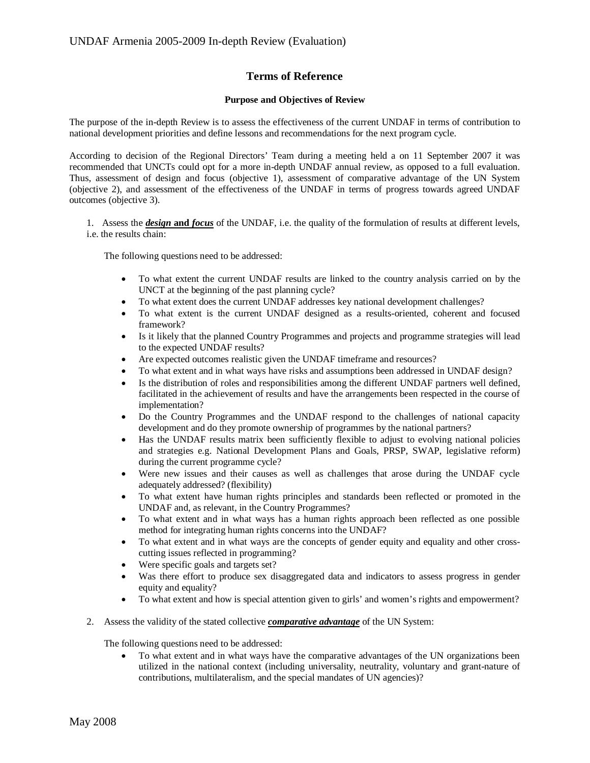# **Terms of Reference**

## **Purpose and Objectives of Review**

The purpose of the in-depth Review is to assess the effectiveness of the current UNDAF in terms of contribution to national development priorities and define lessons and recommendations for the next program cycle.

According to decision of the Regional Directors' Team during a meeting held a on 11 September 2007 it was recommended that UNCTs could opt for a more in-depth UNDAF annual review, as opposed to a full evaluation. Thus, assessment of design and focus (objective 1), assessment of comparative advantage of the UN System (objective 2), and assessment of the effectiveness of the UNDAF in terms of progress towards agreed UNDAF outcomes (objective 3).

1. Assess the *design* **and** *focus* of the UNDAF, i.e. the quality of the formulation of results at different levels, i.e. the results chain:

The following questions need to be addressed:

- To what extent the current UNDAF results are linked to the country analysis carried on by the UNCT at the beginning of the past planning cycle?
- To what extent does the current UNDAF addresses key national development challenges?
- x To what extent is the current UNDAF designed as a results-oriented, coherent and focused framework?
- Is it likely that the planned Country Programmes and projects and programme strategies will lead to the expected UNDAF results?
- Are expected outcomes realistic given the UNDAF timeframe and resources?
- To what extent and in what ways have risks and assumptions been addressed in UNDAF design?
- Is the distribution of roles and responsibilities among the different UNDAF partners well defined, facilitated in the achievement of results and have the arrangements been respected in the course of implementation?
- Do the Country Programmes and the UNDAF respond to the challenges of national capacity development and do they promote ownership of programmes by the national partners?
- x Has the UNDAF results matrix been sufficiently flexible to adjust to evolving national policies and strategies e.g. National Development Plans and Goals, PRSP, SWAP, legislative reform) during the current programme cycle?
- x Were new issues and their causes as well as challenges that arose during the UNDAF cycle adequately addressed? (flexibility)
- x To what extent have human rights principles and standards been reflected or promoted in the UNDAF and, as relevant, in the Country Programmes?
- To what extent and in what ways has a human rights approach been reflected as one possible method for integrating human rights concerns into the UNDAF?
- To what extent and in what ways are the concepts of gender equity and equality and other crosscutting issues reflected in programming?
- Were specific goals and targets set?
- Was there effort to produce sex disaggregated data and indicators to assess progress in gender equity and equality?
- To what extent and how is special attention given to girls' and women's rights and empowerment?
- 2. Assess the validity of the stated collective *comparative advantage* of the UN System:

The following questions need to be addressed:

• To what extent and in what ways have the comparative advantages of the UN organizations been utilized in the national context (including universality, neutrality, voluntary and grant-nature of contributions, multilateralism, and the special mandates of UN agencies)?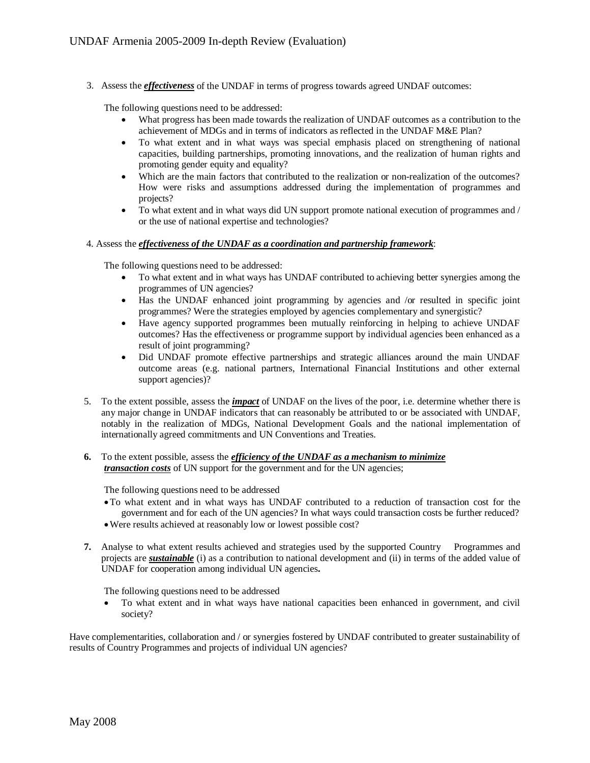3. Assess the *effectiveness* of the UNDAF in terms of progress towards agreed UNDAF outcomes:

The following questions need to be addressed:

- x What progress has been made towards the realization of UNDAF outcomes as a contribution to the achievement of MDGs and in terms of indicators as reflected in the UNDAF M&E Plan?
- To what extent and in what ways was special emphasis placed on strengthening of national capacities, building partnerships, promoting innovations, and the realization of human rights and promoting gender equity and equality?
- Which are the main factors that contributed to the realization or non-realization of the outcomes? How were risks and assumptions addressed during the implementation of programmes and projects?
- To what extent and in what ways did UN support promote national execution of programmes and / or the use of national expertise and technologies?

#### 4. Assess the *effectiveness of the UNDAF as a coordination and partnership framework*:

The following questions need to be addressed:

- To what extent and in what ways has UNDAF contributed to achieving better synergies among the programmes of UN agencies?
- Has the UNDAF enhanced joint programming by agencies and /or resulted in specific joint programmes? Were the strategies employed by agencies complementary and synergistic?
- Have agency supported programmes been mutually reinforcing in helping to achieve UNDAF outcomes? Has the effectiveness or programme support by individual agencies been enhanced as a result of joint programming?
- Did UNDAF promote effective partnerships and strategic alliances around the main UNDAF outcome areas (e.g. national partners, International Financial Institutions and other external support agencies)?
- 5. To the extent possible, assess the *impact* of UNDAF on the lives of the poor, i.e. determine whether there is any major change in UNDAF indicators that can reasonably be attributed to or be associated with UNDAF, notably in the realization of MDGs, National Development Goals and the national implementation of internationally agreed commitments and UN Conventions and Treaties.
- **6.** To the extent possible, assess the *efficiency of the UNDAF as a mechanism to minimize transaction costs* of UN support for the government and for the UN agencies;

The following questions need to be addressed

- xTo what extent and in what ways has UNDAF contributed to a reduction of transaction cost for the government and for each of the UN agencies? In what ways could transaction costs be further reduced?
- xWere results achieved at reasonably low or lowest possible cost?
- **7.** Analyse to what extent results achieved and strategies used by the supported Country Programmes and projects are *sustainable* (i) as a contribution to national development and (ii) in terms of the added value of UNDAF for cooperation among individual UN agencies**.**

The following questions need to be addressed

• To what extent and in what ways have national capacities been enhanced in government, and civil society?

Have complementarities, collaboration and / or synergies fostered by UNDAF contributed to greater sustainability of results of Country Programmes and projects of individual UN agencies?